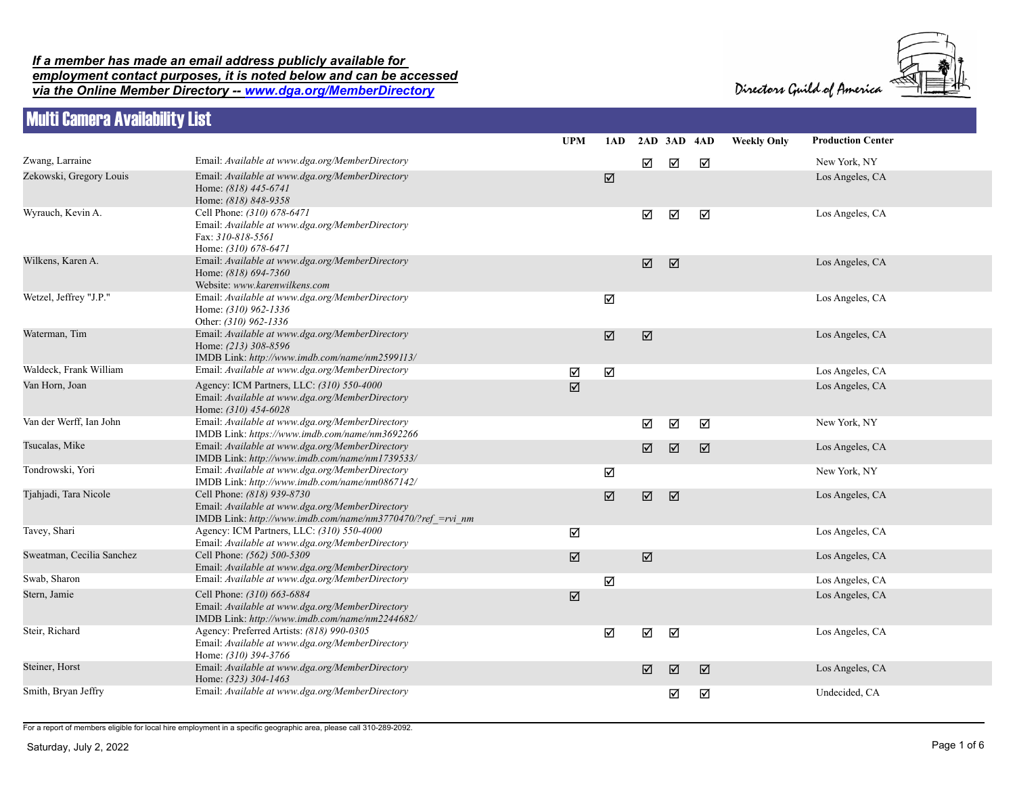## *If a member has made an email address publicly available for employment contact purposes, it is noted below and can be accessed*

*via the Online Member Directory -- www.dga.org/MemberDirectory*

|                            | <b>REA</b> |
|----------------------------|------------|
| Directors Guild of America |            |



## Multi Camera Availability List

|                           |                                                                                                                                             | <b>UPM</b>           | 1AD                    | 2AD 3AD 4AD           |   |   | <b>Weekly Only</b> | <b>Production Center</b> |
|---------------------------|---------------------------------------------------------------------------------------------------------------------------------------------|----------------------|------------------------|-----------------------|---|---|--------------------|--------------------------|
| Zwang, Larraine           | Email: Available at www.dga.org/MemberDirectory                                                                                             |                      |                        | ☑                     | ☑ | ☑ |                    | New York, NY             |
| Zekowski, Gregory Louis   | Email: Available at www.dga.org/MemberDirectory<br>Home: (818) 445-6741<br>Home: (818) 848-9358                                             |                      | $\boxed{\mathbb{Z}}$   |                       |   |   |                    | Los Angeles, CA          |
| Wyrauch, Kevin A.         | Cell Phone: (310) 678-6471<br>Email: Available at www.dga.org/MemberDirectory<br>Fax: 310-818-5561<br>Home: (310) 678-6471                  |                      |                        | ☑                     | ☑ | ☑ |                    | Los Angeles, CA          |
| Wilkens, Karen A.         | Email: Available at www.dga.org/MemberDirectory<br>Home: (818) 694-7360<br>Website: www.karenwilkens.com                                    |                      |                        | $\boxed{\mathbf{V}}$  | ☑ |   |                    | Los Angeles, CA          |
| Wetzel, Jeffrey "J.P."    | Email: Available at www.dga.org/MemberDirectory<br>Home: (310) 962-1336<br>Other: (310) 962-1336                                            |                      | ☑                      |                       |   |   |                    | Los Angeles, CA          |
| Waterman, Tim             | Email: Available at www.dga.org/MemberDirectory<br>Home: (213) 308-8596<br>IMDB Link: http://www.imdb.com/name/nm2599113/                   |                      | $\boxed{\mathbb{Z}}$   | $\boxed{\mathbb{Z}}$  |   |   |                    | Los Angeles, CA          |
| Waldeck, Frank William    | Email: Available at www.dga.org/MemberDirectory                                                                                             | ☑                    | $\Delta$               |                       |   |   |                    | Los Angeles, CA          |
| Van Horn, Joan            | Agency: ICM Partners, LLC: (310) 550-4000<br>Email: Available at www.dga.org/MemberDirectory<br>Home: (310) 454-6028                        | ☑                    |                        |                       |   |   |                    | Los Angeles, CA          |
| Van der Werff, Ian John   | Email: Available at www.dga.org/MemberDirectory<br>IMDB Link: https://www.imdb.com/name/nm3692266                                           |                      |                        | ☑                     | ☑ | ☑ |                    | New York, NY             |
| Tsucalas, Mike            | Email: Available at www.dga.org/MemberDirectory<br>IMDB Link: http://www.imdb.com/name/nm1739533/                                           |                      |                        | ☑                     | ☑ | ☑ |                    | Los Angeles, CA          |
| Tondrowski, Yori          | Email: Available at www.dga.org/MemberDirectory<br>IMDB Link: http://www.imdb.com/name/nm0867142/                                           |                      | ☑                      |                       |   |   |                    | New York, NY             |
| Tjahjadi, Tara Nicole     | Cell Phone: (818) 939-8730<br>Email: Available at www.dga.org/MemberDirectory<br>IMDB Link: http://www.imdb.com/name/nm3770470/?ref =rvi nm |                      | $\overline{\boxtimes}$ | $\boxed{\mathbf{V}}$  | ☑ |   |                    | Los Angeles, CA          |
| Tavey, Shari              | Agency: ICM Partners, LLC: (310) 550-4000<br>Email: Available at www.dga.org/MemberDirectory                                                | ☑                    |                        |                       |   |   |                    | Los Angeles, CA          |
| Sweatman, Cecilia Sanchez | Cell Phone: (562) 500-5309<br>Email: Available at www.dga.org/MemberDirectory                                                               | $\boxed{\mathbf{Z}}$ |                        | $\boxed{\mathcal{N}}$ |   |   |                    | Los Angeles, CA          |
| Swab, Sharon              | Email: Available at www.dga.org/MemberDirectory                                                                                             |                      | ☑                      |                       |   |   |                    | Los Angeles, CA          |
| Stern, Jamie              | Cell Phone: (310) 663-6884<br>Email: Available at www.dga.org/MemberDirectory<br>IMDB Link: http://www.imdb.com/name/nm2244682/             | ☑                    |                        |                       |   |   |                    | Los Angeles, CA          |
| Steir, Richard            | Agency: Preferred Artists: (818) 990-0305<br>Email: Available at www.dga.org/MemberDirectory<br>Home: (310) 394-3766                        |                      | ☑                      | ☑                     | ☑ |   |                    | Los Angeles, CA          |
| Steiner, Horst            | Email: Available at www.dga.org/MemberDirectory<br>Home: (323) 304-1463                                                                     |                      |                        | $\boxed{\mathbb{Z}}$  | ☑ | ☑ |                    | Los Angeles, CA          |
| Smith, Bryan Jeffry       | Email: Available at www.dga.org/MemberDirectory                                                                                             |                      |                        |                       | ☑ | ☑ |                    | Undecided, CA            |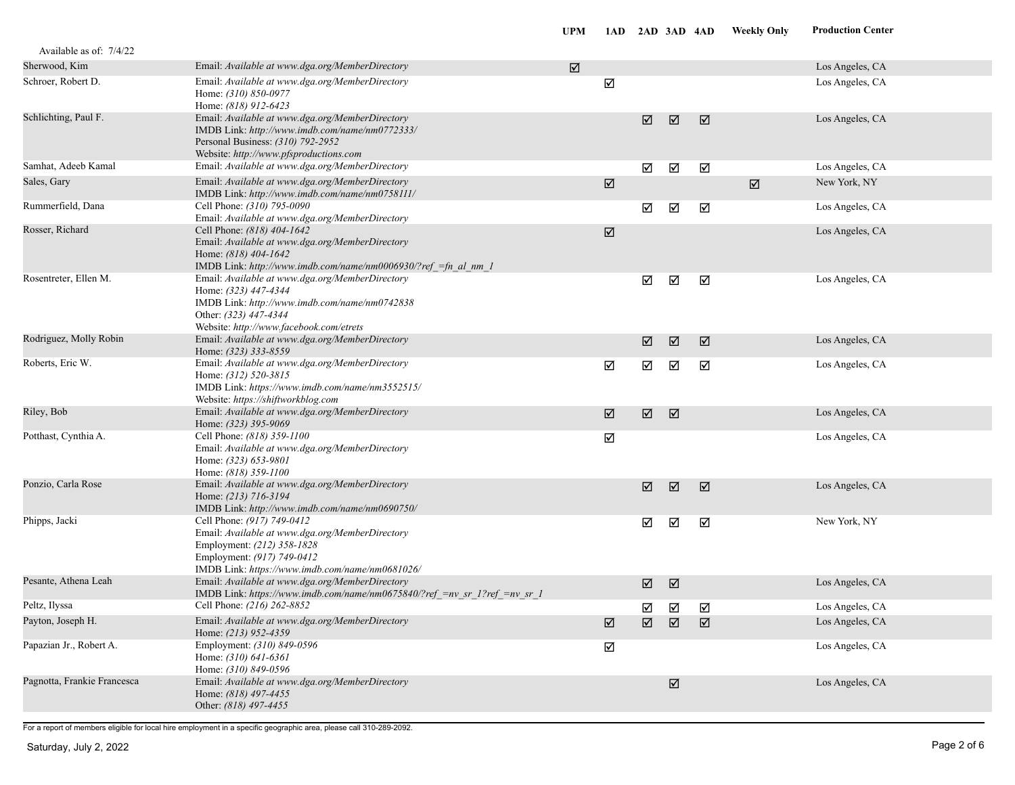| Available as of: 7/4/22     |                                                                                                                                                                                              |   |                       |                      |                       |   |                       |                 |  |
|-----------------------------|----------------------------------------------------------------------------------------------------------------------------------------------------------------------------------------------|---|-----------------------|----------------------|-----------------------|---|-----------------------|-----------------|--|
| Sherwood, Kim               | Email: Available at www.dga.org/MemberDirectory                                                                                                                                              | ☑ |                       |                      |                       |   |                       | Los Angeles, CA |  |
| Schroer, Robert D.          | Email: Available at www.dga.org/MemberDirectory<br>Home: (310) 850-0977<br>Home: (818) 912-6423                                                                                              |   | ☑                     |                      |                       |   |                       | Los Angeles, CA |  |
| Schlichting, Paul F.        | Email: Available at www.dga.org/MemberDirectory<br>IMDB Link: http://www.imdb.com/name/nm0772333/<br>Personal Business: (310) 792-2952<br>Website: http://www.pfsproductions.com             |   |                       | ☑                    | ☑                     | ☑ |                       | Los Angeles, CA |  |
| Samhat, Adeeb Kamal         | Email: Available at www.dga.org/MemberDirectory                                                                                                                                              |   |                       | ☑                    | ☑                     | ☑ |                       | Los Angeles, CA |  |
| Sales, Gary                 | Email: Available at www.dga.org/MemberDirectory<br>IMDB Link: http://www.imdb.com/name/nm0758111/                                                                                            |   | ☑                     |                      |                       |   | $\boxed{\mathcal{N}}$ | New York, NY    |  |
| Rummerfield, Dana           | Cell Phone: (310) 795-0090<br>Email: Available at www.dga.org/MemberDirectory                                                                                                                |   |                       | ☑                    | ☑                     | ☑ |                       | Los Angeles, CA |  |
| Rosser, Richard             | Cell Phone: (818) 404-1642<br>Email: Available at www.dga.org/MemberDirectory<br>Home: (818) 404-1642<br>IMDB Link: http://www.imdb.com/name/nm0006930/?ref_=fn_al_nm_1                      |   | ☑                     |                      |                       |   |                       | Los Angeles, CA |  |
| Rosentreter, Ellen M.       | Email: Available at www.dga.org/MemberDirectory<br>Home: (323) 447-4344<br>IMDB Link: http://www.imdb.com/name/nm0742838<br>Other: (323) 447-4344<br>Website: http://www.facebook.com/etrets |   |                       | ☑                    | ☑                     | ☑ |                       | Los Angeles, CA |  |
| Rodriguez, Molly Robin      | Email: Available at www.dga.org/MemberDirectory<br>Home: (323) 333-8559                                                                                                                      |   |                       | ☑                    | ☑                     | ☑ |                       | Los Angeles, CA |  |
| Roberts, Eric W.            | Email: Available at www.dga.org/MemberDirectory<br>Home: (312) 520-3815<br>IMDB Link: https://www.imdb.com/name/nm3552515/<br>Website: https://shiftworkblog.com                             |   | ☑                     | ☑                    | ☑                     | ☑ |                       | Los Angeles, CA |  |
| Riley, Bob                  | Email: Available at www.dga.org/MemberDirectory<br>Home: (323) 395-9069                                                                                                                      |   | ☑                     | $\boxed{\mathbf{M}}$ | ☑                     |   |                       | Los Angeles, CA |  |
| Potthast, Cynthia A.        | Cell Phone: (818) 359-1100<br>Email: Available at www.dga.org/MemberDirectory<br>Home: (323) 653-9801<br>Home: (818) 359-1100                                                                |   | ☑                     |                      |                       |   |                       | Los Angeles, CA |  |
| Ponzio, Carla Rose          | Email: Available at www.dga.org/MemberDirectory<br>Home: (213) 716-3194<br>IMDB Link: http://www.imdb.com/name/nm0690750/                                                                    |   |                       | ☑                    | ☑                     | ☑ |                       | Los Angeles, CA |  |
| Phipps, Jacki               | Cell Phone: (917) 749-0412<br>Email: Available at www.dga.org/MemberDirectory<br>Employment: (212) 358-1828<br>Employment: (917) 749-0412<br>IMDB Link: https://www.imdb.com/name/nm0681026/ |   |                       | ☑                    | ☑                     | ☑ |                       | New York, NY    |  |
| Pesante, Athena Leah        | Email: Available at www.dga.org/MemberDirectory<br>IMDB Link: https://www.imdb.com/name/nm0675840/?ref =nv sr 1?ref =nv sr 1                                                                 |   |                       | ☑                    | ☑                     |   |                       | Los Angeles, CA |  |
| Peltz, Ilyssa               | Cell Phone: (216) 262-8852                                                                                                                                                                   |   |                       | ☑                    | ☑                     | ☑ |                       | Los Angeles, CA |  |
| Payton, Joseph H.           | Email: Available at www.dga.org/MemberDirectory<br>Home: (213) 952-4359                                                                                                                      |   | $\boxed{\mathcal{A}}$ | $\boxed{\mathbb{Z}}$ | ☑                     | ☑ |                       | Los Angeles, CA |  |
| Papazian Jr., Robert A.     | Employment: (310) 849-0596<br>Home: (310) 641-6361<br>Home: (310) 849-0596                                                                                                                   |   | ☑                     |                      |                       |   |                       | Los Angeles, CA |  |
| Pagnotta, Frankie Francesca | Email: Available at www.dga.org/MemberDirectory<br>Home: (818) 497-4455<br>Other: (818) 497-4455                                                                                             |   |                       |                      | $\boxed{\mathcal{N}}$ |   |                       | Los Angeles, CA |  |
|                             |                                                                                                                                                                                              |   |                       |                      |                       |   |                       |                 |  |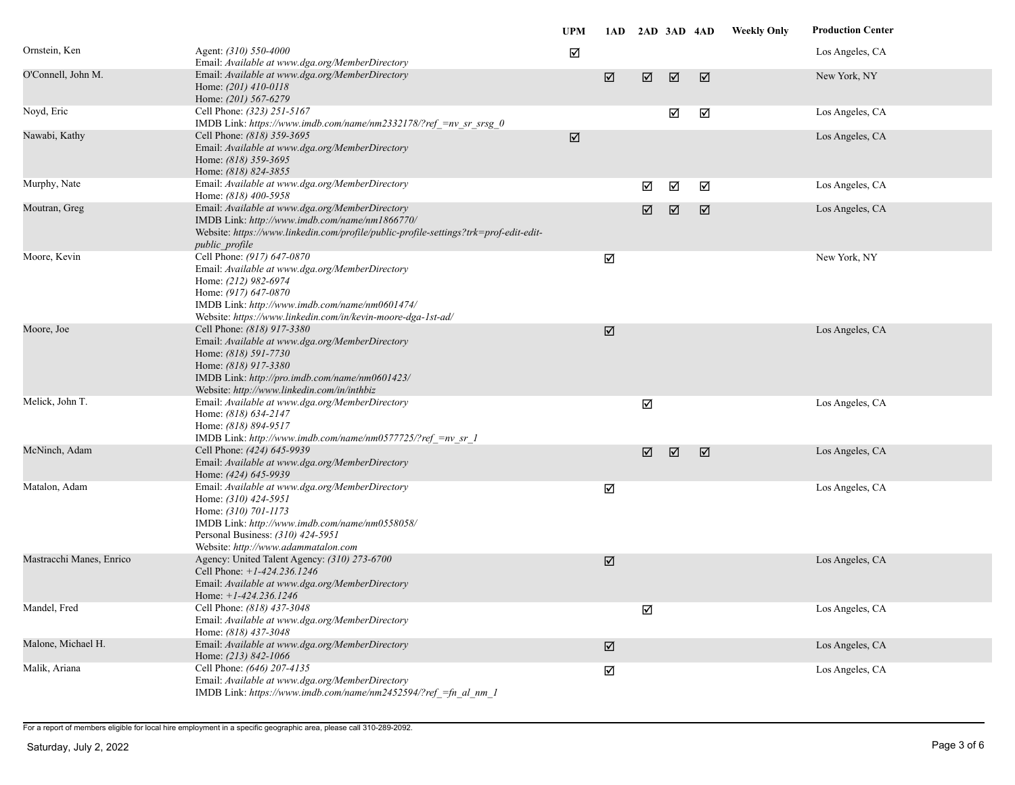|                          |                                                                                                                                                                                                                                                 | <b>UPM</b> |                      | 1AD 2AD 3AD 4AD      |   |                      | <b>Weekly Only</b> | <b>Production Center</b> |
|--------------------------|-------------------------------------------------------------------------------------------------------------------------------------------------------------------------------------------------------------------------------------------------|------------|----------------------|----------------------|---|----------------------|--------------------|--------------------------|
| Ornstein, Ken            | Agent: (310) 550-4000<br>Email: Available at www.dga.org/MemberDirectory                                                                                                                                                                        | ☑          |                      |                      |   |                      |                    | Los Angeles, CA          |
| O'Connell, John M.       | Email: Available at www.dga.org/MemberDirectory<br>Home: $(201)$ 410-0118<br>Home: (201) 567-6279                                                                                                                                               |            | $\boxed{\mathsf{M}}$ | $\boxed{\mathsf{N}}$ | ☑ | ☑                    |                    | New York, NY             |
| Noyd, Eric               | Cell Phone: (323) 251-5167<br>IMDB Link: https://www.imdb.com/name/nm2332178/?ref =nv sr srsg 0                                                                                                                                                 |            |                      |                      | ☑ | ☑                    |                    | Los Angeles, CA          |
| Nawabi, Kathy            | Cell Phone: (818) 359-3695<br>Email: Available at www.dga.org/MemberDirectory<br>Home: (818) 359-3695<br>Home: (818) 824-3855                                                                                                                   | ☑          |                      |                      |   |                      |                    | Los Angeles, CA          |
| Murphy, Nate             | Email: Available at www.dga.org/MemberDirectory<br>Home: (818) 400-5958                                                                                                                                                                         |            |                      | ☑                    | ☑ | ☑                    |                    | Los Angeles, CA          |
| Moutran, Greg            | Email: Available at www.dga.org/MemberDirectory<br>IMDB Link: http://www.imdb.com/name/nm1866770/<br>Website: https://www.linkedin.com/profile/public-profile-settings?trk=prof-edit-edit-<br>public profile                                    |            |                      | $\boxed{\mathbf{N}}$ | ☑ | $\boxed{\mathbf{M}}$ |                    | Los Angeles, CA          |
| Moore, Kevin             | Cell Phone: (917) 647-0870<br>Email: Available at www.dga.org/MemberDirectory<br>Home: (212) 982-6974<br>Home: (917) 647-0870<br>IMDB Link: http://www.imdb.com/name/nm0601474/<br>Website: https://www.linkedin.com/in/kevin-moore-dga-1st-ad/ |            | ☑                    |                      |   |                      |                    | New York, NY             |
| Moore, Joe               | Cell Phone: (818) 917-3380<br>Email: Available at www.dga.org/MemberDirectory<br>Home: (818) 591-7730<br>Home: (818) 917-3380<br>IMDB Link: http://pro.imdb.com/name/nm0601423/<br>Website: http://www.linkedin.com/in/inthbiz                  |            | $\boxed{\mathbf{Z}}$ |                      |   |                      |                    | Los Angeles, CA          |
| Melick, John T.          | Email: Available at www.dga.org/MemberDirectory<br>Home: (818) 634-2147<br>Home: (818) 894-9517<br>IMDB Link: http://www.imdb.com/name/nm0577725/?ref =nv sr 1                                                                                  |            |                      | ☑                    |   |                      |                    | Los Angeles, CA          |
| McNinch, Adam            | Cell Phone: (424) 645-9939<br>Email: Available at www.dga.org/MemberDirectory<br>Home: (424) 645-9939                                                                                                                                           |            |                      | ☑                    | ☑ | ☑                    |                    | Los Angeles, CA          |
| Matalon, Adam            | Email: Available at www.dga.org/MemberDirectory<br>Home: $(310)$ 424-5951<br>Home: (310) 701-1173<br>IMDB Link: http://www.imdb.com/name/nm0558058/<br>Personal Business: (310) 424-5951<br>Website: http://www.adammatalon.com                 |            | ☑                    |                      |   |                      |                    | Los Angeles, CA          |
| Mastracchi Manes, Enrico | Agency: United Talent Agency: (310) 273-6700<br>Cell Phone: +1-424.236.1246<br>Email: Available at www.dga.org/MemberDirectory<br>Home: $+1-424.236.1246$                                                                                       |            | ☑                    |                      |   |                      |                    | Los Angeles, CA          |
| Mandel, Fred             | Cell Phone: (818) 437-3048<br>Email: Available at www.dga.org/MemberDirectory<br>Home: (818) 437-3048                                                                                                                                           |            |                      | $\Delta$             |   |                      |                    | Los Angeles, CA          |
| Malone, Michael H.       | Email: Available at www.dga.org/MemberDirectory<br>Home: (213) 842-1066                                                                                                                                                                         |            | $\boxed{\mathsf{N}}$ |                      |   |                      |                    | Los Angeles, CA          |
| Malik, Ariana            | Cell Phone: (646) 207-4135<br>Email: Available at www.dga.org/MemberDirectory<br>IMDB Link: https://www.imdb.com/name/nm2452594/?ref =fn al nm 1                                                                                                |            | ☑                    |                      |   |                      |                    | Los Angeles, CA          |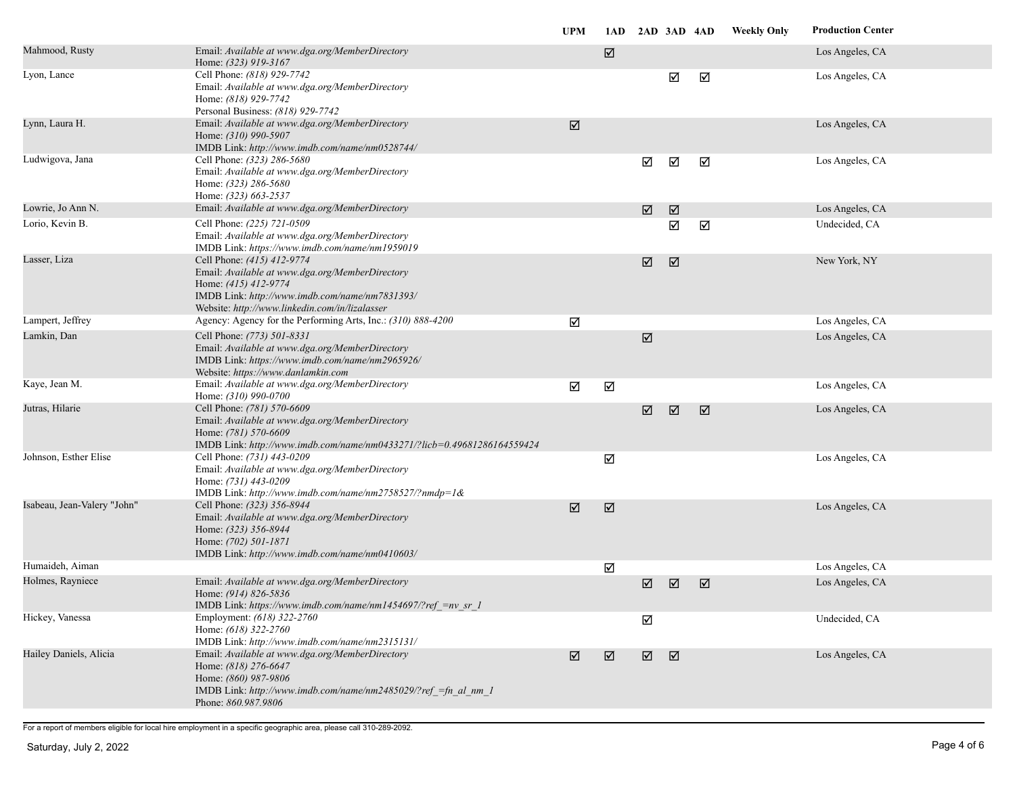|                             |                                                                                                                                                                                                           | <b>UPM</b> |   | 1AD 2AD 3AD 4AD       |   |   | <b>Weekly Only</b> | <b>Production Center</b> |
|-----------------------------|-----------------------------------------------------------------------------------------------------------------------------------------------------------------------------------------------------------|------------|---|-----------------------|---|---|--------------------|--------------------------|
| Mahmood, Rusty              | Email: Available at www.dga.org/MemberDirectory<br>Home: (323) 919-3167                                                                                                                                   |            | ☑ |                       |   |   |                    | Los Angeles, CA          |
| Lyon, Lance                 | Cell Phone: (818) 929-7742<br>Email: Available at www.dga.org/MemberDirectory<br>Home: (818) 929-7742<br>Personal Business: (818) 929-7742                                                                |            |   |                       | ☑ | ☑ |                    | Los Angeles, CA          |
| Lynn, Laura H.              | Email: Available at www.dga.org/MemberDirectory<br>Home: (310) 990-5907<br>IMDB Link: http://www.imdb.com/name/nm0528744/                                                                                 | ☑          |   |                       |   |   |                    | Los Angeles, CA          |
| Ludwigova, Jana             | Cell Phone: (323) 286-5680<br>Email: Available at www.dga.org/MemberDirectory<br>Home: (323) 286-5680<br>Home: (323) 663-2537                                                                             |            |   | ☑                     | ☑ | ☑ |                    | Los Angeles, CA          |
| Lowrie, Jo Ann N.           | Email: Available at www.dga.org/MemberDirectory                                                                                                                                                           |            |   | ☑                     | ☑ |   |                    | Los Angeles, CA          |
| Lorio, Kevin B.             | Cell Phone: (225) 721-0509<br>Email: Available at www.dga.org/MemberDirectory<br>IMDB Link: https://www.imdb.com/name/nm1959019                                                                           |            |   |                       | ☑ | ☑ |                    | Undecided, CA            |
| Lasser, Liza                | Cell Phone: (415) 412-9774<br>Email: Available at www.dga.org/MemberDirectory<br>Home: (415) 412-9774<br>IMDB Link: http://www.imdb.com/name/nm7831393/<br>Website: http://www.linkedin.com/in/lizalasser |            |   | $\boxed{\mathcal{N}}$ | ☑ |   |                    | New York, NY             |
| Lampert, Jeffrey            | Agency: Agency for the Performing Arts, Inc.: (310) 888-4200                                                                                                                                              | ☑          |   |                       |   |   |                    | Los Angeles, CA          |
| Lamkin, Dan                 | Cell Phone: (773) 501-8331<br>Email: Available at www.dga.org/MemberDirectory<br>IMDB Link: https://www.imdb.com/name/nm2965926/<br>Website: https://www.danlamkin.com                                    |            |   | $\boxed{\mathcal{N}}$ |   |   |                    | Los Angeles, CA          |
| Kaye, Jean M.               | Email: Available at www.dga.org/MemberDirectory<br>Home: (310) 990-0700                                                                                                                                   | ☑          | ☑ |                       |   |   |                    | Los Angeles, CA          |
| Jutras, Hilarie             | Cell Phone: (781) 570-6609<br>Email: Available at www.dga.org/MemberDirectory<br>Home: (781) 570-6609<br>IMDB Link: http://www.imdb.com/name/nm0433271/?licb=0.49681286164559424                          |            |   | $\boxed{\mathsf{M}}$  | ☑ | ☑ |                    | Los Angeles, CA          |
| Johnson, Esther Elise       | Cell Phone: (731) 443-0209<br>Email: Available at www.dga.org/MemberDirectory<br>Home: (731) 443-0209<br>IMDB Link: http://www.imdb.com/name/nm2758527/?nmdp=1&                                           |            | ☑ |                       |   |   |                    | Los Angeles, CA          |
| Isabeau, Jean-Valery "John" | Cell Phone: (323) 356-8944<br>Email: Available at www.dga.org/MemberDirectory<br>Home: (323) 356-8944<br>Home: (702) 501-1871<br>IMDB Link: http://www.imdb.com/name/nm0410603/                           | ☑          | ☑ |                       |   |   |                    | Los Angeles, CA          |
| Humaideh, Aiman             |                                                                                                                                                                                                           |            | ☑ |                       |   |   |                    | Los Angeles, CA          |
| Holmes, Rayniece            | Email: Available at www.dga.org/MemberDirectory<br>Home: (914) 826-5836<br>IMDB Link: https://www.imdb.com/name/nm1454697/?ref =nv sr 1                                                                   |            |   | ☑                     | ☑ | ☑ |                    | Los Angeles, CA          |
| Hickey, Vanessa             | Employment: (618) 322-2760<br>Home: (618) 322-2760<br>IMDB Link: http://www.imdb.com/name/nm2315131/                                                                                                      |            |   | ☑                     |   |   |                    | Undecided, CA            |
| Hailey Daniels, Alicia      | Email: Available at www.dga.org/MemberDirectory<br>Home: (818) 276-6647<br>Home: (860) 987-9806<br>IMDB Link: http://www.imdb.com/name/nm2485029/?ref = fn al nm 1<br>Phone: 860.987.9806                 | ☑          | ☑ | $\boxed{\mathbf{M}}$  | ☑ |   |                    | Los Angeles, CA          |
|                             |                                                                                                                                                                                                           |            |   |                       |   |   |                    |                          |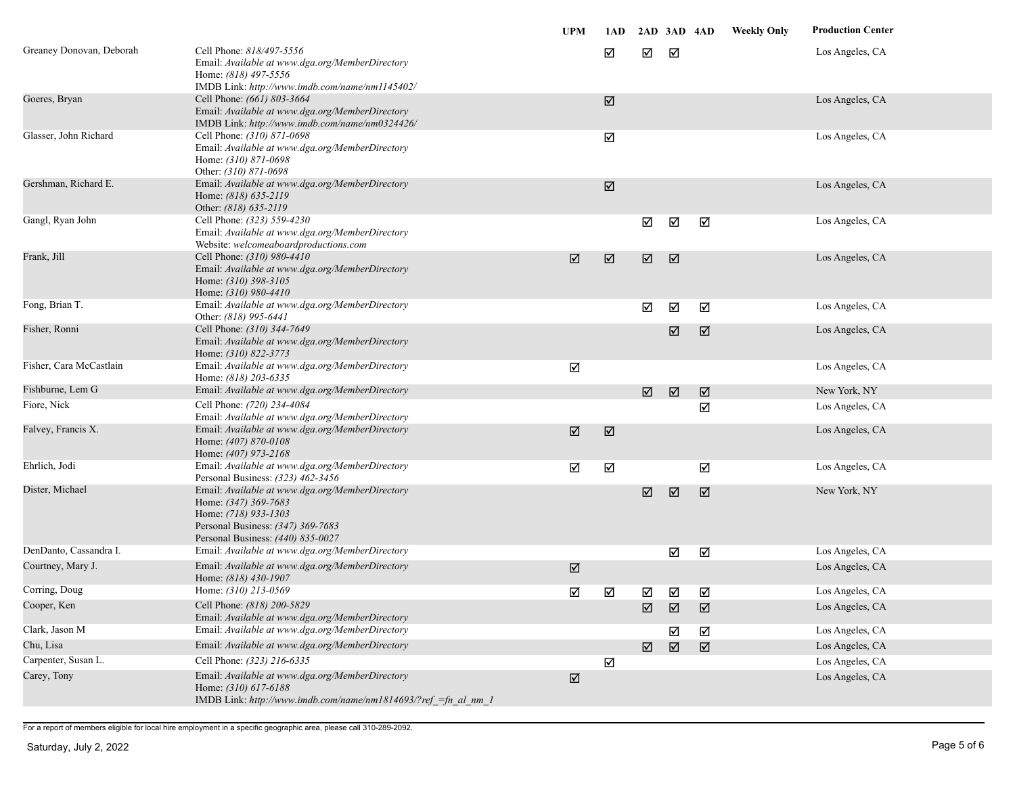|                          |                                                                                                                                                                           | <b>UPM</b> | 1AD                   |                      | 2AD 3AD 4AD |                      | <b>Weekly Only</b> | <b>Production Center</b> |
|--------------------------|---------------------------------------------------------------------------------------------------------------------------------------------------------------------------|------------|-----------------------|----------------------|-------------|----------------------|--------------------|--------------------------|
| Greaney Donovan, Deborah | Cell Phone: 818/497-5556<br>Email: Available at www.dga.org/MemberDirectory<br>Home: (818) 497-5556<br>IMDB Link: http://www.imdb.com/name/nm1145402/                     |            | ☑                     | ☑                    | ☑           |                      |                    | Los Angeles, CA          |
| Goeres, Bryan            | Cell Phone: (661) 803-3664<br>Email: Available at www.dga.org/MemberDirectory<br>IMDB Link: http://www.imdb.com/name/nm0324426/                                           |            | $\boxed{\mathcal{S}}$ |                      |             |                      |                    | Los Angeles, CA          |
| Glasser, John Richard    | Cell Phone: (310) 871-0698<br>Email: Available at www.dga.org/MemberDirectory<br>Home: (310) 871-0698<br>Other: (310) 871-0698                                            |            | ☑                     |                      |             |                      |                    | Los Angeles, CA          |
| Gershman, Richard E.     | Email: Available at www.dga.org/MemberDirectory<br>Home: (818) 635-2119<br>Other: (818) 635-2119                                                                          |            | $\boxed{\mathbf{Z}}$  |                      |             |                      |                    | Los Angeles, CA          |
| Gangl, Ryan John         | Cell Phone: (323) 559-4230<br>Email: Available at www.dga.org/MemberDirectory<br>Website: welcomeaboardproductions.com                                                    |            |                       | ☑                    | ☑           | ☑                    |                    | Los Angeles, CA          |
| Frank, Jill              | Cell Phone: (310) 980-4410<br>Email: Available at www.dga.org/MemberDirectory<br>Home: $(310)$ 398-3105<br>Home: (310) 980-4410                                           | ☑          | $\boxed{\mathsf{N}}$  | $\boxed{\mathbf{N}}$ | ☑           |                      |                    | Los Angeles, CA          |
| Fong, Brian T.           | Email: Available at www.dga.org/MemberDirectory<br>Other: (818) 995-6441                                                                                                  |            |                       | ☑                    | ☑           | ☑                    |                    | Los Angeles, CA          |
| Fisher, Ronni            | Cell Phone: (310) 344-7649<br>Email: Available at www.dga.org/MemberDirectory<br>Home: (310) 822-3773                                                                     |            |                       |                      | ☑           | ☑                    |                    | Los Angeles, CA          |
| Fisher, Cara McCastlain  | Email: Available at www.dga.org/MemberDirectory<br>Home: (818) 203-6335                                                                                                   | ☑          |                       |                      |             |                      |                    | Los Angeles, CA          |
| Fishburne, Lem G         | Email: Available at www.dga.org/MemberDirectory                                                                                                                           |            |                       | $\boxed{\mathbf{N}}$ | ☑           | $\boxed{\mathsf{N}}$ |                    | New York, NY             |
| Fiore, Nick              | Cell Phone: (720) 234-4084<br>Email: Available at www.dga.org/MemberDirectory                                                                                             |            |                       |                      |             | ☑                    |                    | Los Angeles, CA          |
| Falvey, Francis X.       | Email: Available at www.dga.org/MemberDirectory<br>Home: (407) 870-0108<br>Home: (407) 973-2168                                                                           | ☑          | $\boxed{\triangle}$   |                      |             |                      |                    | Los Angeles, CA          |
| Ehrlich, Jodi            | Email: Available at www.dga.org/MemberDirectory<br>Personal Business: (323) 462-3456                                                                                      | ☑          | ☑                     |                      |             | ☑                    |                    | Los Angeles, CA          |
| Dister, Michael          | Email: Available at www.dga.org/MemberDirectory<br>Home: (347) 369-7683<br>Home: (718) 933-1303<br>Personal Business: (347) 369-7683<br>Personal Business: (440) 835-0027 |            |                       | ☑                    | ☑           | $\boxed{\mathbf{N}}$ |                    | New York, NY             |
| DenDanto, Cassandra I.   | Email: Available at www.dga.org/MemberDirectory                                                                                                                           |            |                       |                      | ☑           | $\Delta$             |                    | Los Angeles, CA          |
| Courtney, Mary J.        | Email: Available at www.dga.org/MemberDirectory<br>Home: (818) 430-1907                                                                                                   | ☑          |                       |                      |             |                      |                    | Los Angeles, CA          |
| Corring, Doug            | Home: (310) 213-0569                                                                                                                                                      | ☑          | ☑                     | ☑                    | ☑           | ☑                    |                    | Los Angeles, CA          |
| Cooper, Ken              | Cell Phone: (818) 200-5829<br>Email: Available at www.dga.org/MemberDirectory                                                                                             |            |                       | ☑                    | ☑           | ☑                    |                    | Los Angeles, CA          |
| Clark, Jason M           | Email: Available at www.dga.org/MemberDirectory                                                                                                                           |            |                       |                      | ☑           | ☑                    |                    | Los Angeles, CA          |
| Chu, Lisa                | Email: Available at www.dga.org/MemberDirectory                                                                                                                           |            |                       | ☑                    | ☑           | $\boxtimes$          |                    | Los Angeles, CA          |
| Carpenter, Susan L.      | Cell Phone: (323) 216-6335                                                                                                                                                |            | ☑                     |                      |             |                      |                    | Los Angeles, CA          |
| Carey, Tony              | Email: Available at www.dga.org/MemberDirectory<br>Home: (310) 617-6188<br>IMDB Link: http://www.imdb.com/name/nm1814693/?ref =fn al nm 1                                 | ☑          |                       |                      |             |                      |                    | Los Angeles, CA          |